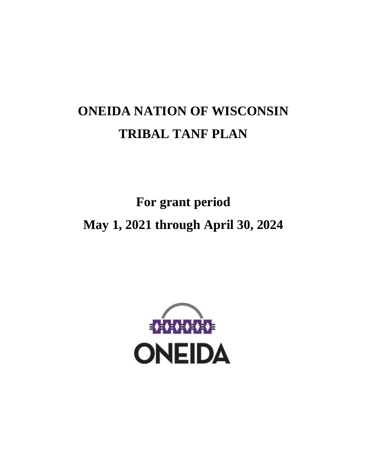# **ONEIDA NATION OF WISCONSIN TRIBAL TANF PLAN**

**For grant period May 1, 2021 through April 30, 2024**

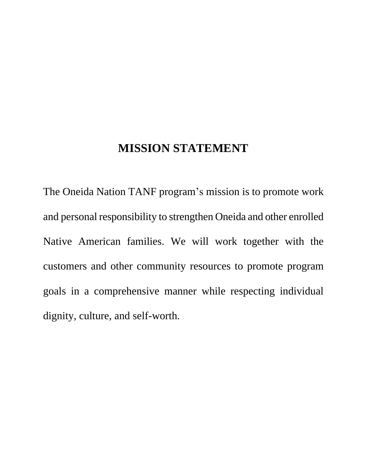# **MISSION STATEMENT**

The Oneida Nation TANF program's mission is to promote work and personal responsibility to strengthen Oneida and other enrolled Native American families. We will work together with the customers and other community resources to promote program goals in a comprehensive manner while respecting individual dignity, culture, and self-worth.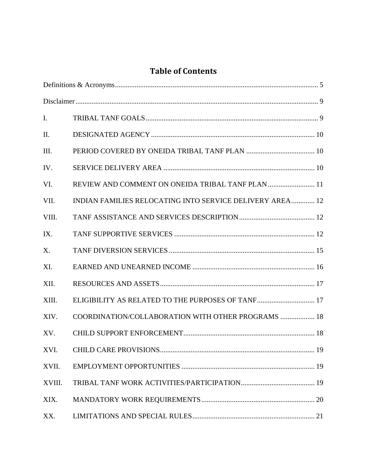## **Table of Contents**

| Ι.     |                                                          |  |
|--------|----------------------------------------------------------|--|
| II.    |                                                          |  |
| Ш.     |                                                          |  |
| IV.    |                                                          |  |
| VI.    | REVIEW AND COMMENT ON ONEIDA TRIBAL TANF PLAN  11        |  |
| VII.   | INDIAN FAMILIES RELOCATING INTO SERVICE DELIVERY AREA 12 |  |
| VIII.  |                                                          |  |
| IX.    |                                                          |  |
| X.     |                                                          |  |
| XI.    |                                                          |  |
| XII.   |                                                          |  |
| XIII.  | ELIGIBILITY AS RELATED TO THE PURPOSES OF TANF 17        |  |
| XIV.   | COORDINATION/COLLABORATION WITH OTHER PROGRAMS  18       |  |
| XV.    |                                                          |  |
| XVI.   |                                                          |  |
| XVII.  |                                                          |  |
| XVIII. |                                                          |  |
| XIX.   |                                                          |  |
| XX.    |                                                          |  |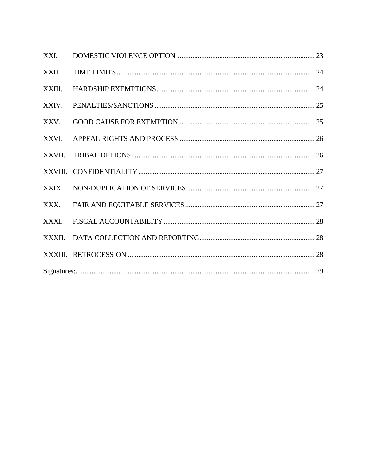| XXI.   |  |  |
|--------|--|--|
| XXII.  |  |  |
| XXIII. |  |  |
| XXIV.  |  |  |
| XXV.   |  |  |
| XXVI.  |  |  |
|        |  |  |
|        |  |  |
| XXIX.  |  |  |
| XXX.   |  |  |
| XXXI.  |  |  |
|        |  |  |
|        |  |  |
|        |  |  |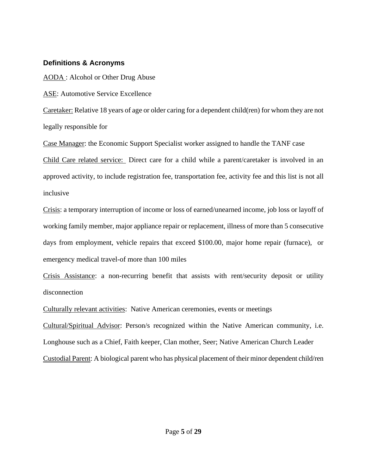#### <span id="page-4-0"></span>**Definitions & Acronyms**

AODA : Alcohol or Other Drug Abuse

ASE: Automotive Service Excellence

Caretaker: Relative 18 years of age or older caring for a dependent child(ren) for whom they are not legally responsible for

Case Manager: the Economic Support Specialist worker assigned to handle the TANF case Child Care related service: Direct care for a child while a parent/caretaker is involved in an approved activity, to include registration fee, transportation fee, activity fee and this list is not all inclusive

Crisis: a temporary interruption of income or loss of earned/unearned income, job loss or layoff of working family member, major appliance repair or replacement, illness of more than 5 consecutive days from employment, vehicle repairs that exceed \$100.00, major home repair (furnace), or emergency medical travel-of more than 100 miles

Crisis Assistance: a non-recurring benefit that assists with rent/security deposit or utility disconnection

Culturally relevant activities: Native American ceremonies, events or meetings

Cultural/Spiritual Advisor: Person/s recognized within the Native American community, i.e. Longhouse such as a Chief, Faith keeper, Clan mother, Seer; Native American Church Leader Custodial Parent: A biological parent who has physical placement of their minor dependent child/ren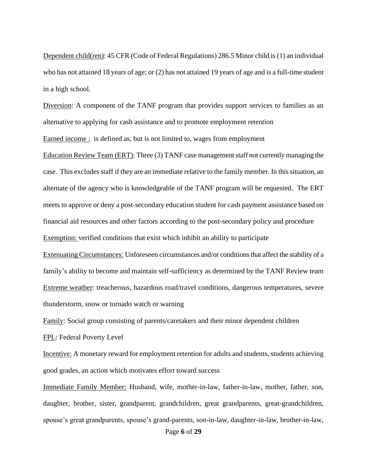Dependent child(ren): 45 CFR (Code of Federal Regulations) 286.5 Minor child is (1) an individual who has not attained 18 years of age; or (2) has not attained 19 years of age and is a full-time student in a high school.

Diversion: A component of the TANF program that provides support services to families as an alternative to applying for cash assistance and to promote employment retention

Earned income : is defined as, but is not limited to, wages from employment

Education Review Team (ERT): Three (3) TANF case management staff not currently managing the case. This excludes staff if they are an immediate relative to the family member. In this situation, an alternate of the agency who is knowledgeable of the TANF program will be requested. The ERT meets to approve or deny a post-secondary education student for cash payment assistance based on financial aid resources and other factors according to the post-secondary policy and procedure Exemption: verified conditions that exist which inhibit an ability to participate

Extenuating Circumstances: Unforeseen circumstances and/or conditions that affect the stability of a family's ability to become and maintain self-sufficiency as determined by the TANF Review team Extreme weather: treacherous, hazardous road/travel conditions, dangerous temperatures, severe thunderstorm, snow or tornado watch or warning

Family: Social group consisting of parents/caretakers and their minor dependent children

FPL: Federal Poverty Level

Incentive: A monetary reward for employment retention for adults and students, students achieving good grades, an action which motivates effort toward success

Immediate Family Member: Husband, wife, mother-in-law, father-in-law, mother, father, son, daughter, brother, sister, grandparent, grandchildren, great grandparents, great-grandchildren, spouse's great grandparents, spouse's grand-parents, son-in-law, daughter-in-law, brother-in-law,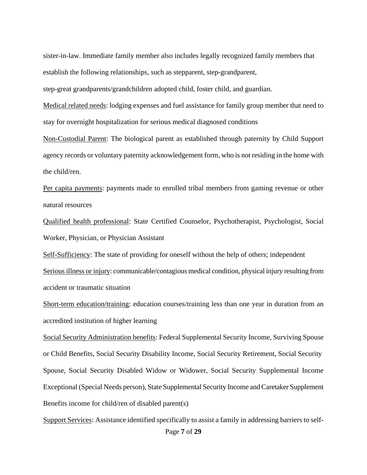sister-in-law. Immediate family member also includes legally recognized family members that establish the following relationships, such as stepparent, step-grandparent,

step-great grandparents/grandchildren adopted child, foster child, and guardian.

Medical related needs: lodging expenses and fuel assistance for family group member that need to stay for overnight hospitalization for serious medical diagnosed conditions

Non-Custodial Parent: The biological parent as established through paternity by Child Support agency records or voluntary paternity acknowledgement form, who is not residing in the home with the child/ren.

Per capita payments: payments made to enrolled tribal members from gaming revenue or other natural resources

Qualified health professional: State Certified Counselor, Psychotherapist, Psychologist, Social Worker, Physician, or Physician Assistant

Self-Sufficiency: The state of providing for oneself without the help of others; independent

Serious illness or injury: communicable/contagious medical condition, physical injury resulting from accident or traumatic situation

Short-term education/training: education courses/training less than one year in duration from an accredited institution of higher learning

Social Security Administration benefits: Federal Supplemental Security Income, Surviving Spouse or Child Benefits, Social Security Disability Income, Social Security Retirement, Social Security Spouse, Social Security Disabled Widow or Widower, Social Security Supplemental Income Exceptional (Special Needs person), State Supplemental Security Income and Caretaker Supplement Benefits income for child/ren of disabled parent(s)

Support Services: Assistance identified specifically to assist a family in addressing barriers to self-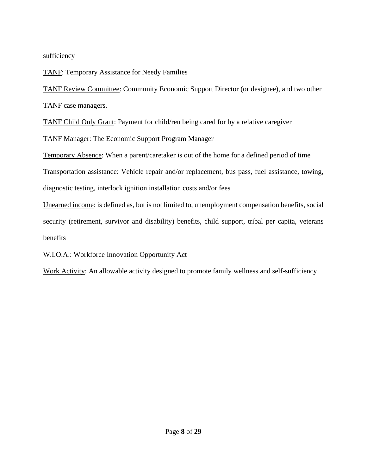sufficiency

TANF: Temporary Assistance for Needy Families

TANF Review Committee: Community Economic Support Director (or designee), and two other TANF case managers.

TANF Child Only Grant: Payment for child/ren being cared for by a relative caregiver

TANF Manager: The Economic Support Program Manager

Temporary Absence: When a parent/caretaker is out of the home for a defined period of time

Transportation assistance: Vehicle repair and/or replacement, bus pass, fuel assistance, towing, diagnostic testing, interlock ignition installation costs and/or fees

Unearned income: is defined as, but is not limited to, unemployment compensation benefits, social security (retirement, survivor and disability) benefits, child support, tribal per capita, veterans benefits

## W.I.O.A.: Workforce Innovation Opportunity Act

Work Activity: An allowable activity designed to promote family wellness and self-sufficiency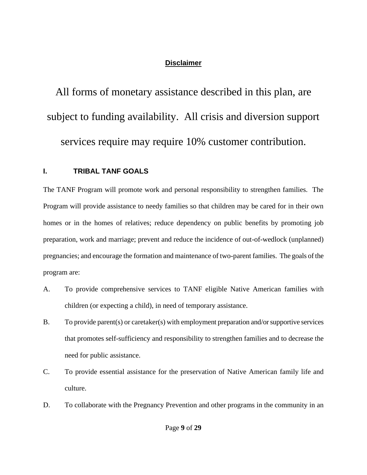## **Disclaimer**

<span id="page-8-0"></span>All forms of monetary assistance described in this plan, are subject to funding availability. All crisis and diversion support services require may require 10% customer contribution.

## <span id="page-8-1"></span>**I. TRIBAL TANF GOALS**

The TANF Program will promote work and personal responsibility to strengthen families. The Program will provide assistance to needy families so that children may be cared for in their own homes or in the homes of relatives; reduce dependency on public benefits by promoting job preparation, work and marriage; prevent and reduce the incidence of out-of-wedlock (unplanned) pregnancies; and encourage the formation and maintenance of two-parent families. The goals of the program are:

- A. To provide comprehensive services to TANF eligible Native American families with children (or expecting a child), in need of temporary assistance.
- B. To provide parent(s) or caretaker(s) with employment preparation and/or supportive services that promotes self-sufficiency and responsibility to strengthen families and to decrease the need for public assistance.
- C. To provide essential assistance for the preservation of Native American family life and culture.
- D. To collaborate with the Pregnancy Prevention and other programs in the community in an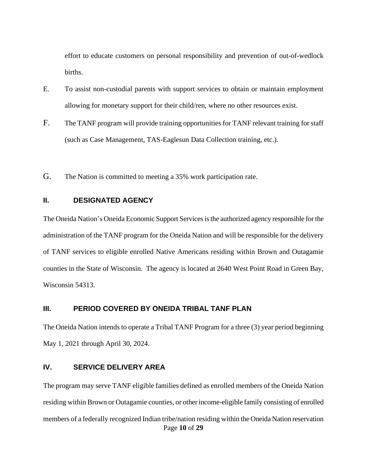effort to educate customers on personal responsibility and prevention of out-of-wedlock births.

- E. To assist non-custodial parents with support services to obtain or maintain employment allowing for monetary support for their child/ren, where no other resources exist.
- F. The TANF program will provide training opportunities for TANF relevant training for staff (such as Case Management, TAS-Eaglesun Data Collection training, etc.).
- G. The Nation is committed to meeting a 35% work participation rate.

#### <span id="page-9-0"></span>**II. DESIGNATED AGENCY**

The Oneida Nation's Oneida Economic Support Services is the authorized agency responsible for the administration of the TANF program for the Oneida Nation and will be responsible for the delivery of TANF services to eligible enrolled Native Americans residing within Brown and Outagamie counties in the State of Wisconsin. The agency is located at 2640 West Point Road in Green Bay, Wisconsin 54313.

#### <span id="page-9-1"></span>**III. PERIOD COVERED BY ONEIDA TRIBAL TANF PLAN**

The Oneida Nation intends to operate a Tribal TANF Program for a three (3) year period beginning May 1, 2021 through April 30, 2024.

#### <span id="page-9-2"></span>**IV. SERVICE DELIVERY AREA**

Page **10** of **29** The program may serve TANF eligible families defined as enrolled members of the Oneida Nation residing within Brown or Outagamie counties, or other income-eligible family consisting of enrolled members of a federally recognized Indian tribe/nation residing within the Oneida Nation reservation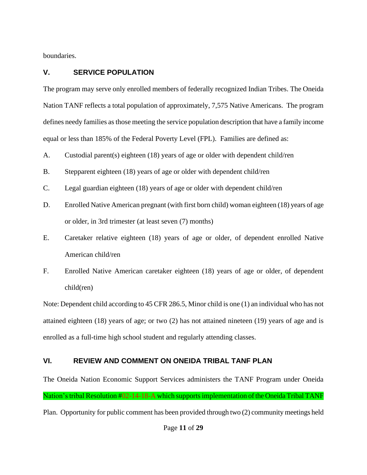boundaries.

## **V. SERVICE POPULATION**

The program may serve only enrolled members of federally recognized Indian Tribes. The Oneida Nation TANF reflects a total population of approximately, 7,575 Native Americans. The program defines needy families as those meeting the service population description that have a family income equal or less than 185% of the Federal Poverty Level (FPL). Families are defined as:

A. Custodial parent(s) eighteen (18) years of age or older with dependent child/ren

- B. Stepparent eighteen (18) years of age or older with dependent child/ren
- C. Legal guardian eighteen (18) years of age or older with dependent child/ren
- D. Enrolled Native American pregnant (with first born child) woman eighteen (18) years of age or older, in 3rd trimester (at least seven (7) months)
- E. Caretaker relative eighteen (18) years of age or older, of dependent enrolled Native American child/ren
- F. Enrolled Native American caretaker eighteen (18) years of age or older, of dependent child(ren)

Note: Dependent child according to 45 CFR 286.5, Minor child is one (1) an individual who has not attained eighteen (18) years of age; or two (2) has not attained nineteen (19) years of age and is enrolled as a full-time high school student and regularly attending classes.

## <span id="page-10-0"></span>**VI. REVIEW AND COMMENT ON ONEIDA TRIBAL TANF PLAN**

The Oneida Nation Economic Support Services administers the TANF Program under Oneida Nation's tribal Resolution #02-14-18-A which supports implementation of the Oneida Tribal TANF Plan. Opportunity for public comment has been provided through two (2) community meetings held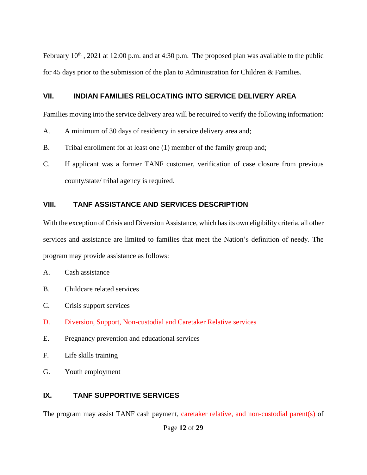February  $10^{th}$ , 2021 at 12:00 p.m. and at 4:30 p.m. The proposed plan was available to the public for 45 days prior to the submission of the plan to Administration for Children & Families.

#### <span id="page-11-0"></span>**VII. INDIAN FAMILIES RELOCATING INTO SERVICE DELIVERY AREA**

Families moving into the service delivery area will be required to verify the following information:

- A. A minimum of 30 days of residency in service delivery area and;
- B. Tribal enrollment for at least one (1) member of the family group and;
- C. If applicant was a former TANF customer, verification of case closure from previous county/state/ tribal agency is required.

#### <span id="page-11-1"></span>**VIII. TANF ASSISTANCE AND SERVICES DESCRIPTION**

With the exception of Crisis and Diversion Assistance, which has its own eligibility criteria, all other services and assistance are limited to families that meet the Nation's definition of needy. The program may provide assistance as follows:

- A. Cash assistance
- B. Childcare related services
- C. Crisis support services
- D. Diversion, Support, Non-custodial and Caretaker Relative services
- E. Pregnancy prevention and educational services
- F. Life skills training
- G. Youth employment

## <span id="page-11-2"></span>**IX. TANF SUPPORTIVE SERVICES**

The program may assist TANF cash payment, caretaker relative, and non-custodial parent(s) of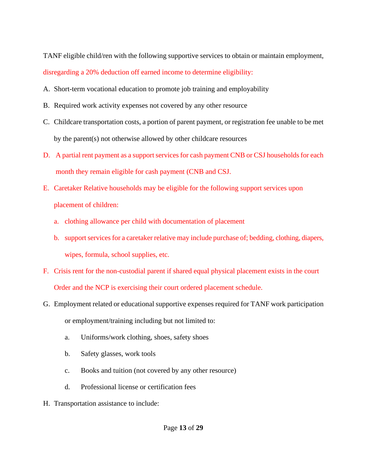TANF eligible child/ren with the following supportive services to obtain or maintain employment, disregarding a 20% deduction off earned income to determine eligibility:

- A. Short-term vocational education to promote job training and employability
- B. Required work activity expenses not covered by any other resource
- C. Childcare transportation costs, a portion of parent payment, or registration fee unable to be met by the parent(s) not otherwise allowed by other childcare resources
- D. A partial rent payment as a support services for cash payment CNB or CSJ households for each month they remain eligible for cash payment (CNB and CSJ.
- E. Caretaker Relative households may be eligible for the following support services upon placement of children:
	- a. clothing allowance per child with documentation of placement
	- b. support services for a caretaker relative may include purchase of; bedding, clothing, diapers, wipes, formula, school supplies, etc.
- F. Crisis rent for the non-custodial parent if shared equal physical placement exists in the court Order and the NCP is exercising their court ordered placement schedule.
- G. Employment related or educational supportive expenses required for TANF work participation or employment/training including but not limited to:
	- a. Uniforms/work clothing, shoes, safety shoes
	- b. Safety glasses, work tools
	- c. Books and tuition (not covered by any other resource)
	- d. Professional license or certification fees
- H. Transportation assistance to include: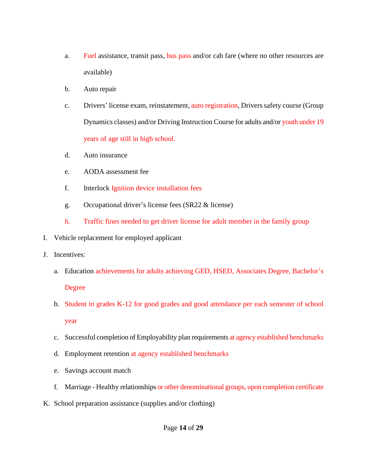- a. Fuel assistance, transit pass, bus pass and/or cab fare (where no other resources are available)
- b. Auto repair
- c. Drivers' license exam, reinstatement, auto registration, Drivers safety course (Group Dynamics classes) and/or Driving Instruction Course for adults and/or youth under 19 years of age still in high school.
- d. Auto insurance
- e. AODA assessment fee
- f. Interlock Ignition device installation fees
- g. Occupational driver's license fees (SR22 & license)
- h. Traffic fines needed to get driver license for adult member in the family group
- I. Vehicle replacement for employed applicant
- J. Incentives:
	- a. Education achievements for adults achieving GED, HSED, Associates Degree, Bachelor's Degree
	- b. Student in grades K-12 for good grades and good attendance per each semester of school year
	- c. Successful completion of Employability plan requirements at agency established benchmarks
	- d. Employment retention at agency established benchmarks
	- e. Savings account match
	- f. Marriage Healthy relationships or other denominational groups, upon completion certificate
- K. School preparation assistance (supplies and/or clothing)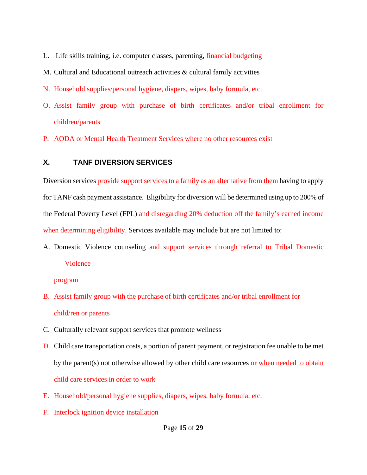- L. Life skills training, i.e. computer classes, parenting, financial budgeting
- M. Cultural and Educational outreach activities & cultural family activities
- N. Household supplies/personal hygiene, diapers, wipes, baby formula, etc.
- O. Assist family group with purchase of birth certificates and/or tribal enrollment for children/parents
- P. AODA or Mental Health Treatment Services where no other resources exist

#### <span id="page-14-0"></span>**X. TANF DIVERSION SERVICES**

Diversion services provide support services to a family as an alternative from them having to apply for TANF cash payment assistance. Eligibility for diversion will be determined using up to 200% of the Federal Poverty Level (FPL) and disregarding 20% deduction off the family's earned income when determining eligibility. Services available may include but are not limited to:

A. Domestic Violence counseling and support services through referral to Tribal Domestic Violence

program

- B. Assist family group with the purchase of birth certificates and/or tribal enrollment for child/ren or parents
- C. Culturally relevant support services that promote wellness
- D. Child care transportation costs, a portion of parent payment, or registration fee unable to be met by the parent(s) not otherwise allowed by other child care resources or when needed to obtain child care services in order to work
- E. Household/personal hygiene supplies, diapers, wipes, baby formula, etc.
- F. Interlock ignition device installation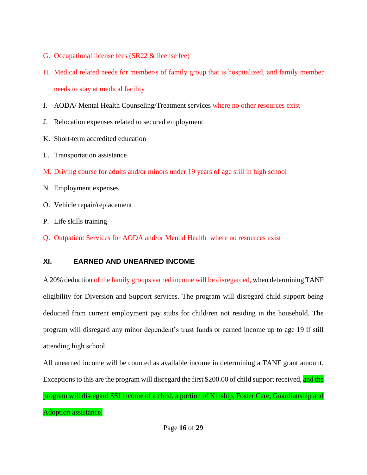- G. Occupational license fees (SR22 & license fee)
- H. Medical related needs for member/s of family group that is hospitalized, and family member needs to stay at medical facility
- I. AODA/ Mental Health Counseling/Treatment services where no other resources exist
- J. Relocation expenses related to secured employment
- K. Short-term accredited education
- L. Transportation assistance
- M. Driving course for adults and/or minors under 19 years of age still in high school
- N. Employment expenses
- O. Vehicle repair/replacement
- P. Life skills training
- Q. Outpatient Services for AODA and/or Mental Health where no resources exist

## <span id="page-15-0"></span>**XI. EARNED AND UNEARNED INCOME**

A 20% deduction of the family groups earned income will be disregarded, when determining TANF eligibility for Diversion and Support services. The program will disregard child support being deducted from current employment pay stubs for child/ren not residing in the household. The program will disregard any minor dependent's trust funds or earned income up to age 19 if still attending high school.

All unearned income will be counted as available income in determining a TANF grant amount. Exceptions to this are the program will disregard the first \$200.00 of child support received, and the

program will disregard SSI income of a child, a portion of Kinship, Foster Care, Guardianship and Adoption assistance.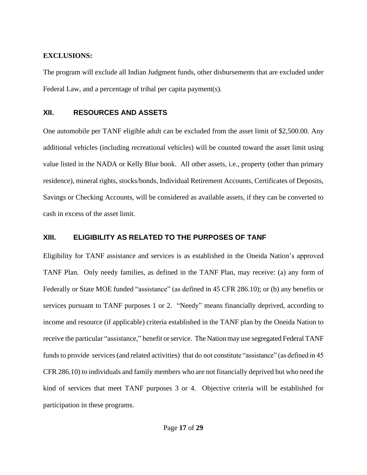#### **EXCLUSIONS:**

The program will exclude all Indian Judgment funds, other disbursements that are excluded under Federal Law, and a percentage of tribal per capita payment(s).

#### <span id="page-16-0"></span>**XII. RESOURCES AND ASSETS**

One automobile per TANF eligible adult can be excluded from the asset limit of \$2,500.00. Any additional vehicles (including recreational vehicles) will be counted toward the asset limit using value listed in the NADA or Kelly Blue book. All other assets, i.e., property (other than primary residence), mineral rights, stocks/bonds, Individual Retirement Accounts, Certificates of Deposits, Savings or Checking Accounts, will be considered as available assets, if they can be converted to cash in excess of the asset limit.

### <span id="page-16-1"></span>**XIII. ELIGIBILITY AS RELATED TO THE PURPOSES OF TANF**

Eligibility for TANF assistance and services is as established in the Oneida Nation's approved TANF Plan. Only needy families, as defined in the TANF Plan, may receive: (a) any form of Federally or State MOE funded "assistance" (as defined in 45 CFR 286.10); or (b) any benefits or services pursuant to TANF purposes 1 or 2. "Needy" means financially deprived, according to income and resource (if applicable) criteria established in the TANF plan by the Oneida Nation to receive the particular "assistance," benefit or service. The Nation may use segregated Federal TANF funds to provide services (and related activities) that do not constitute "assistance" (as defined in 45 CFR 286.10) to individuals and family members who are not financially deprived but who need the kind of services that meet TANF purposes 3 or 4. Objective criteria will be established for participation in these programs.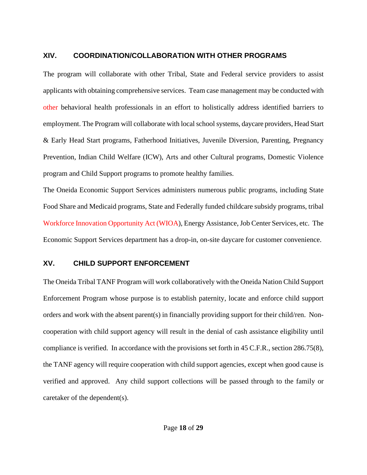#### <span id="page-17-0"></span>**XIV. COORDINATION/COLLABORATION WITH OTHER PROGRAMS**

The program will collaborate with other Tribal, State and Federal service providers to assist applicants with obtaining comprehensive services. Team case management may be conducted with other behavioral health professionals in an effort to holistically address identified barriers to employment. The Program will collaborate with local school systems, daycare providers, Head Start & Early Head Start programs, Fatherhood Initiatives, Juvenile Diversion, Parenting, Pregnancy Prevention, Indian Child Welfare (ICW), Arts and other Cultural programs, Domestic Violence program and Child Support programs to promote healthy families.

The Oneida Economic Support Services administers numerous public programs, including State Food Share and Medicaid programs, State and Federally funded childcare subsidy programs, tribal Workforce Innovation Opportunity Act (WIOA), Energy Assistance, Job Center Services, etc. The Economic Support Services department has a drop-in, on-site daycare for customer convenience.

#### <span id="page-17-1"></span>**XV. CHILD SUPPORT ENFORCEMENT**

The Oneida Tribal TANF Program will work collaboratively with the Oneida Nation Child Support Enforcement Program whose purpose is to establish paternity, locate and enforce child support orders and work with the absent parent(s) in financially providing support for their child/ren. Noncooperation with child support agency will result in the denial of cash assistance eligibility until compliance is verified. In accordance with the provisions set forth in 45 C.F.R., section 286.75(8), the TANF agency will require cooperation with child support agencies, except when good cause is verified and approved. Any child support collections will be passed through to the family or caretaker of the dependent(s).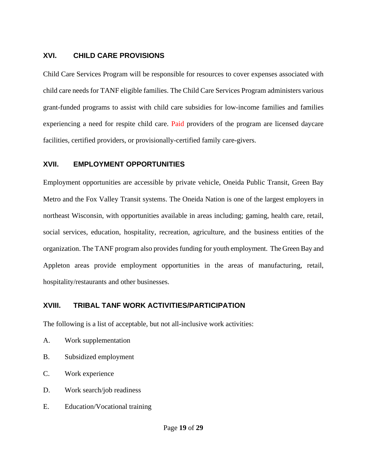#### <span id="page-18-0"></span>**XVI. CHILD CARE PROVISIONS**

Child Care Services Program will be responsible for resources to cover expenses associated with child care needs for TANF eligible families. The Child Care Services Program administers various grant-funded programs to assist with child care subsidies for low-income families and families experiencing a need for respite child care. Paid providers of the program are licensed daycare facilities, certified providers, or provisionally-certified family care-givers.

#### <span id="page-18-1"></span>**XVII. EMPLOYMENT OPPORTUNITIES**

Employment opportunities are accessible by private vehicle, Oneida Public Transit, Green Bay Metro and the Fox Valley Transit systems. The Oneida Nation is one of the largest employers in northeast Wisconsin, with opportunities available in areas including; gaming, health care, retail, social services, education, hospitality, recreation, agriculture, and the business entities of the organization. The TANF program also provides funding for youth employment. The Green Bay and Appleton areas provide employment opportunities in the areas of manufacturing, retail, hospitality/restaurants and other businesses.

#### <span id="page-18-2"></span>**XVIII. TRIBAL TANF WORK ACTIVITIES/PARTICIPATION**

The following is a list of acceptable, but not all-inclusive work activities:

- A. Work supplementation
- B. Subsidized employment
- C. Work experience
- D. Work search/job readiness
- E. Education/Vocational training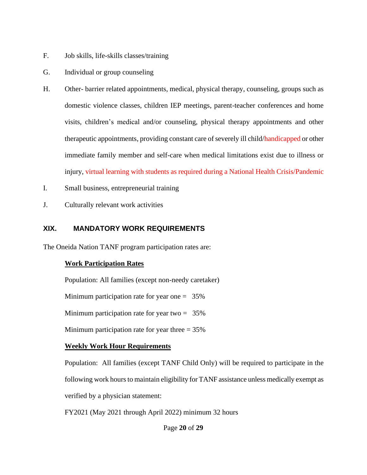- F. Job skills, life-skills classes/training
- G. Individual or group counseling
- H. Other- barrier related appointments, medical, physical therapy, counseling, groups such as domestic violence classes, children IEP meetings, parent-teacher conferences and home visits, children's medical and/or counseling, physical therapy appointments and other therapeutic appointments, providing constant care of severely ill child/handicapped or other immediate family member and self-care when medical limitations exist due to illness or injury, virtual learning with students as required during a National Health Crisis/Pandemic
- I. Small business, entrepreneurial training
- J. Culturally relevant work activities

#### <span id="page-19-0"></span>**XIX. MANDATORY WORK REQUIREMENTS**

The Oneida Nation TANF program participation rates are:

#### **Work Participation Rates**

Population: All families (except non-needy caretaker)

Minimum participation rate for year one  $= 35\%$ 

Minimum participation rate for year two  $= 35\%$ 

Minimum participation rate for year three  $= 35\%$ 

#### **Weekly Work Hour Requirements**

Population: All families (except TANF Child Only) will be required to participate in the following work hours to maintain eligibility for TANF assistance unless medically exempt as verified by a physician statement:

FY2021 (May 2021 through April 2022) minimum 32 hours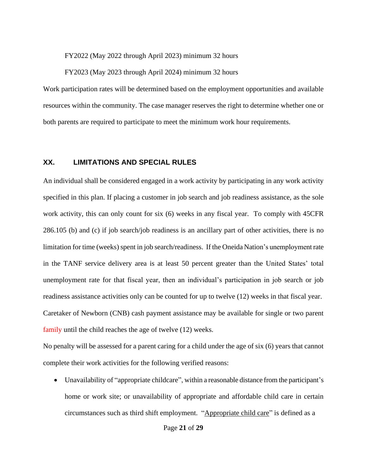FY2022 (May 2022 through April 2023) minimum 32 hours

FY2023 (May 2023 through April 2024) minimum 32 hours

Work participation rates will be determined based on the employment opportunities and available resources within the community. The case manager reserves the right to determine whether one or both parents are required to participate to meet the minimum work hour requirements.

#### <span id="page-20-0"></span>**XX. LIMITATIONS AND SPECIAL RULES**

An individual shall be considered engaged in a work activity by participating in any work activity specified in this plan. If placing a customer in job search and job readiness assistance, as the sole work activity, this can only count for six (6) weeks in any fiscal year. To comply with 45CFR 286.105 (b) and (c) if job search/job readiness is an ancillary part of other activities, there is no limitation for time (weeks) spent in job search/readiness. If the Oneida Nation's unemployment rate in the TANF service delivery area is at least 50 percent greater than the United States' total unemployment rate for that fiscal year, then an individual's participation in job search or job readiness assistance activities only can be counted for up to twelve (12) weeks in that fiscal year. Caretaker of Newborn (CNB) cash payment assistance may be available for single or two parent family until the child reaches the age of twelve (12) weeks.

No penalty will be assessed for a parent caring for a child under the age of six (6) years that cannot complete their work activities for the following verified reasons:

• Unavailability of "appropriate childcare", within a reasonable distance from the participant's home or work site; or unavailability of appropriate and affordable child care in certain circumstances such as third shift employment. "Appropriate child care" is defined as a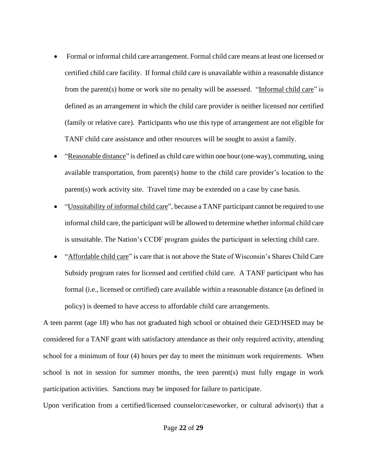- Formal or informal child care arrangement. Formal child care means at least one licensed or certified child care facility. If formal child care is unavailable within a reasonable distance from the parent(s) home or work site no penalty will be assessed. "Informal child care" is defined as an arrangement in which the child care provider is neither licensed nor certified (family or relative care). Participants who use this type of arrangement are not eligible for TANF child care assistance and other resources will be sought to assist a family.
- "Reasonable distance" is defined as child care within one hour (one-way), commuting, using available transportation, from parent(s) home to the child care provider's location to the parent(s) work activity site. Travel time may be extended on a case by case basis.
- "Unsuitability of informal child care", because a TANF participant cannot be required to use informal child care, the participant will be allowed to determine whether informal child care is unsuitable. The Nation's CCDF program guides the participant in selecting child care.
- "Affordable child care" is care that is not above the State of Wisconsin's Shares Child Care Subsidy program rates for licensed and certified child care. A TANF participant who has formal (i.e., licensed or certified) care available within a reasonable distance (as defined in policy) is deemed to have access to affordable child care arrangements.

A teen parent (age 18) who has not graduated high school or obtained their GED/HSED may be considered for a TANF grant with satisfactory attendance as their only required activity, attending school for a minimum of four (4) hours per day to meet the minimum work requirements. When school is not in session for summer months, the teen parent(s) must fully engage in work participation activities. Sanctions may be imposed for failure to participate.

Upon verification from a certified/licensed counselor/caseworker, or cultural advisor(s) that a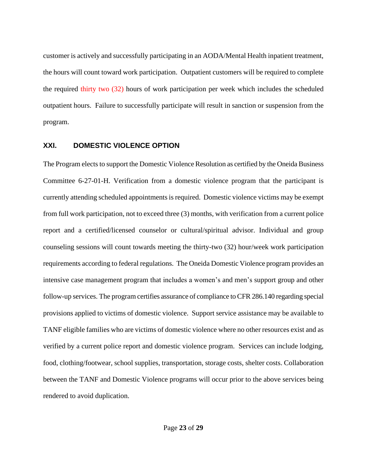customer is actively and successfully participating in an AODA/Mental Health inpatient treatment, the hours will count toward work participation. Outpatient customers will be required to complete the required thirty two (32) hours of work participation per week which includes the scheduled outpatient hours. Failure to successfully participate will result in sanction or suspension from the program.

#### <span id="page-22-0"></span>**XXI. DOMESTIC VIOLENCE OPTION**

The Program elects to support the Domestic Violence Resolution as certified by the Oneida Business Committee 6-27-01-H. Verification from a domestic violence program that the participant is currently attending scheduled appointments is required. Domestic violence victims may be exempt from full work participation, not to exceed three (3) months, with verification from a current police report and a certified/licensed counselor or cultural/spiritual advisor. Individual and group counseling sessions will count towards meeting the thirty-two (32) hour/week work participation requirements according to federal regulations. The Oneida Domestic Violence program provides an intensive case management program that includes a women's and men's support group and other follow-up services. The program certifies assurance of compliance to CFR 286.140 regarding special provisions applied to victims of domestic violence. Support service assistance may be available to TANF eligible families who are victims of domestic violence where no other resources exist and as verified by a current police report and domestic violence program. Services can include lodging, food, clothing/footwear, school supplies, transportation, storage costs, shelter costs. Collaboration between the TANF and Domestic Violence programs will occur prior to the above services being rendered to avoid duplication.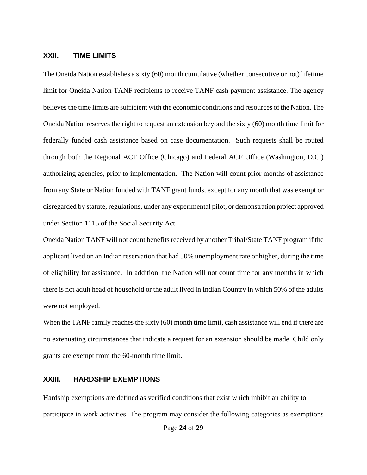#### <span id="page-23-0"></span>**XXII. TIME LIMITS**

The Oneida Nation establishes a sixty (60) month cumulative (whether consecutive or not) lifetime limit for Oneida Nation TANF recipients to receive TANF cash payment assistance. The agency believes the time limits are sufficient with the economic conditions and resources of the Nation. The Oneida Nation reserves the right to request an extension beyond the sixty (60) month time limit for federally funded cash assistance based on case documentation. Such requests shall be routed through both the Regional ACF Office (Chicago) and Federal ACF Office (Washington, D.C.) authorizing agencies, prior to implementation. The Nation will count prior months of assistance from any State or Nation funded with TANF grant funds, except for any month that was exempt or disregarded by statute, regulations, under any experimental pilot, or demonstration project approved under Section 1115 of the Social Security Act.

Oneida Nation TANF will not count benefits received by another Tribal/State TANF program if the applicant lived on an Indian reservation that had 50% unemployment rate or higher, during the time of eligibility for assistance. In addition, the Nation will not count time for any months in which there is not adult head of household or the adult lived in Indian Country in which 50% of the adults were not employed.

When the TANF family reaches the sixty (60) month time limit, cash assistance will end if there are no extenuating circumstances that indicate a request for an extension should be made. Child only grants are exempt from the 60-month time limit.

#### <span id="page-23-1"></span>**XXIII. HARDSHIP EXEMPTIONS**

Hardship exemptions are defined as verified conditions that exist which inhibit an ability to participate in work activities. The program may consider the following categories as exemptions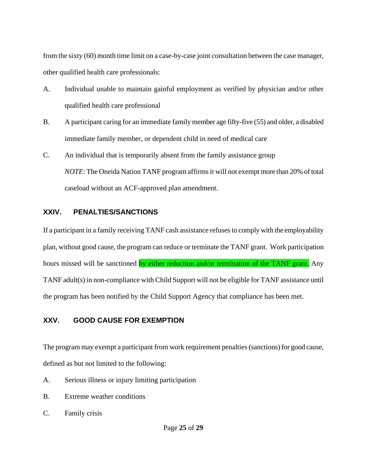from the sixty (60) month time limit on a case-by-case joint consultation between the case manager, other qualified health care professionals:

- A. Individual unable to maintain gainful employment as verified by physician and/or other qualified health care professional
- B. A participant caring for an immediate family member age fifty-five (55) and older, a disabled immediate family member, or dependent child in need of medical care
- C. An individual that is temporarily absent from the family assistance group *NOTE*: The Oneida Nation TANF program affirms it will not exempt more than 20% of total caseload without an ACF-approved plan amendment.

#### <span id="page-24-0"></span>**XXIV. PENALTIES/SANCTIONS**

If a participant in a family receiving TANF cash assistance refuses to comply with the employability plan, without good cause, the program can reduce or terminate the TANF grant. Work participation hours missed will be sanctioned by either reduction and/or termination of the TANF grant. Any TANF adult(s) in non-compliance with Child Support will not be eligible for TANF assistance until the program has been notified by the Child Support Agency that compliance has been met.

## <span id="page-24-1"></span>**XXV. GOOD CAUSE FOR EXEMPTION**

The program may exempt a participant from work requirement penalties (sanctions) for good cause, defined as but not limited to the following:

- A. Serious illness or injury limiting participation
- B. Extreme weather conditions
- C. Family crisis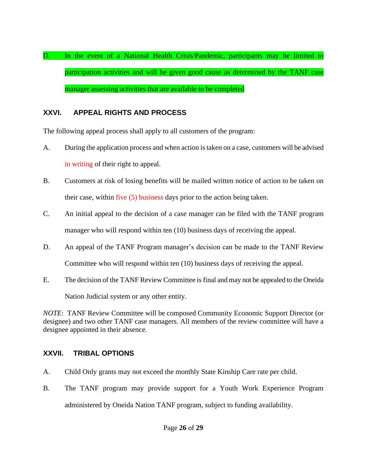D. In the event of a National Health Crisis/Pandemic, participants may be limited to participation activities and will be given good cause as determined by the TANF case manager assessing activities that are available to be completed

## <span id="page-25-0"></span>**XXVI. APPEAL RIGHTS AND PROCESS**

The following appeal process shall apply to all customers of the program:

- A. During the application process and when action istaken on a case, customers will be advised in writing of their right to appeal.
- B. Customers at risk of losing benefits will be mailed written notice of action to be taken on their case, within five (5) business days prior to the action being taken.
- C. An initial appeal to the decision of a case manager can be filed with the TANF program manager who will respond within ten (10) business days of receiving the appeal.
- D. An appeal of the TANF Program manager's decision can be made to the TANF Review Committee who will respond within ten (10) business days of receiving the appeal.
- E. The decision of the TANF Review Committee is final and may not be appealed to the Oneida

Nation Judicial system or any other entity.

*NOTE*: TANF Review Committee will be composed Community Economic Support Director (or designee) and two other TANF case managers. All members of the review committee will have a designee appointed in their absence.

## <span id="page-25-1"></span>**XXVII. TRIBAL OPTIONS**

- A. Child Only grants may not exceed the monthly State Kinship Care rate per child.
- B. The TANF program may provide support for a Youth Work Experience Program administered by Oneida Nation TANF program, subject to funding availability.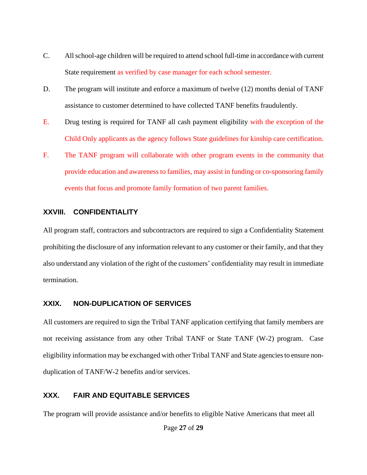- C. All school-age children will be required to attend school full-time in accordance with current State requirement as verified by case manager for each school semester.
- D. The program will institute and enforce a maximum of twelve (12) months denial of TANF assistance to customer determined to have collected TANF benefits fraudulently.
- E. Drug testing is required for TANF all cash payment eligibility with the exception of the Child Only applicants as the agency follows State guidelines for kinship care certification.
- F. The TANF program will collaborate with other program events in the community that provide education and awareness to families, may assist in funding or co-sponsoring family events that focus and promote family formation of two parent families.

#### <span id="page-26-0"></span>**XXVIII. CONFIDENTIALITY**

All program staff, contractors and subcontractors are required to sign a Confidentiality Statement prohibiting the disclosure of any information relevant to any customer or their family, and that they also understand any violation of the right of the customers' confidentiality may result in immediate termination.

#### <span id="page-26-1"></span>**XXIX. NON-DUPLICATION OF SERVICES**

All customers are required to sign the Tribal TANF application certifying that family members are not receiving assistance from any other Tribal TANF or State TANF (W-2) program. Case eligibility information may be exchanged with other Tribal TANF and State agencies to ensure nonduplication of TANF/W-2 benefits and/or services.

## <span id="page-26-2"></span>**XXX. FAIR AND EQUITABLE SERVICES**

The program will provide assistance and/or benefits to eligible Native Americans that meet all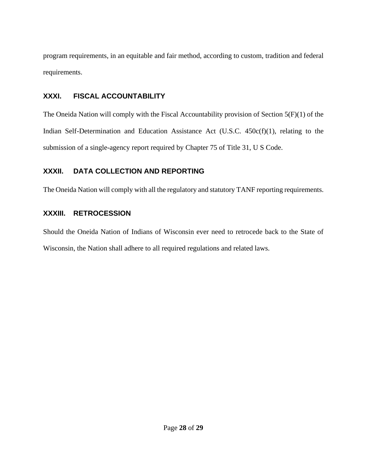program requirements, in an equitable and fair method, according to custom, tradition and federal requirements.

## <span id="page-27-0"></span>**XXXI. FISCAL ACCOUNTABILITY**

The Oneida Nation will comply with the Fiscal Accountability provision of Section 5(F)(1) of the Indian Self-Determination and Education Assistance Act (U.S.C. 450c(f)(1), relating to the submission of a single-agency report required by Chapter 75 of Title 31, U S Code.

## <span id="page-27-1"></span>**XXXII. DATA COLLECTION AND REPORTING**

The Oneida Nation will comply with all the regulatory and statutory TANF reporting requirements.

## <span id="page-27-2"></span>**XXXIII. RETROCESSION**

Should the Oneida Nation of Indians of Wisconsin ever need to retrocede back to the State of Wisconsin, the Nation shall adhere to all required regulations and related laws.